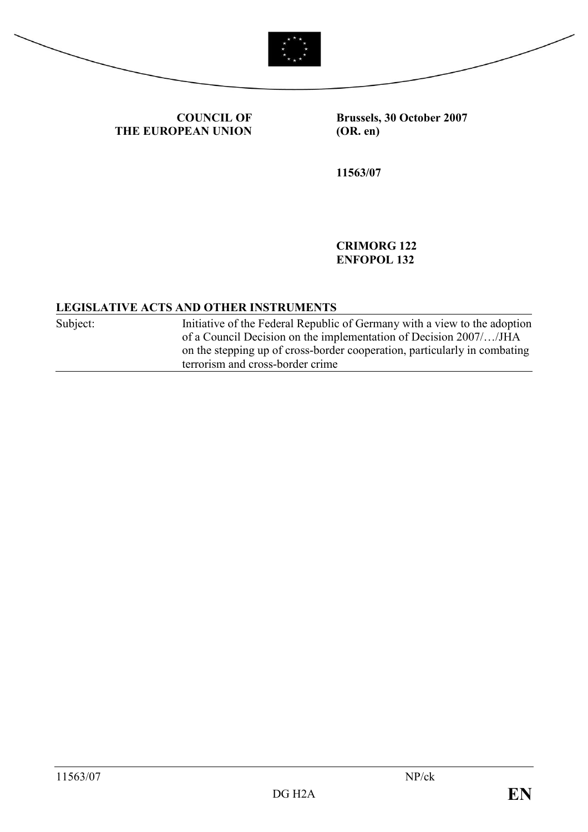



COUNCIL OF THE EUROPEAN UNION Brussels, 30 October 2007 (OR. en)

11563/07

CRIMORG 122 ENFOPOL 132

## LEGISLATIVE ACTS AND OTHER INSTRUMENTS

Subject: Initiative of the Federal Republic of Germany with a view to the adoption of a Council Decision on the implementation of Decision 2007/…/JHA on the stepping up of cross-border cooperation, particularly in combating terrorism and cross-border crime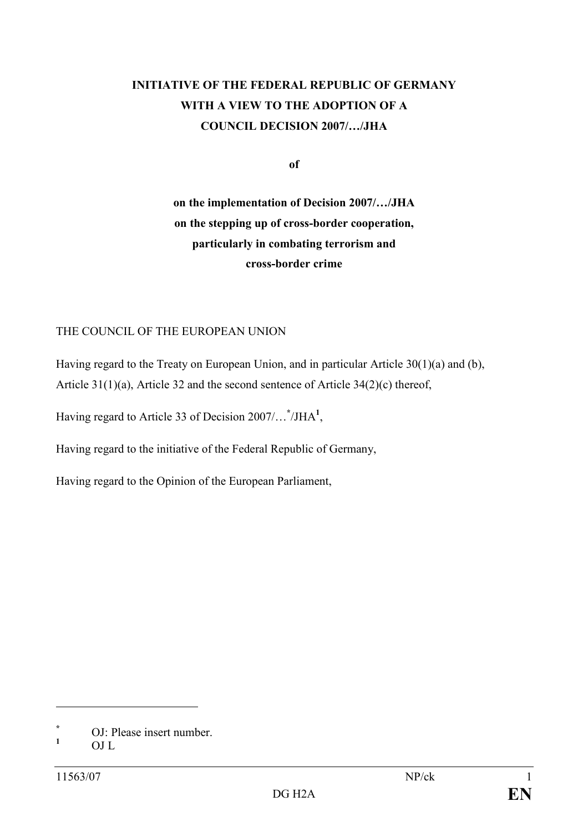# INITIATIVE OF THE FEDERAL REPUBLIC OF GERMANY WITH A VIEW TO THE ADOPTION OF A COUNCIL DECISION 2007/…/JHA

of

on the implementation of Decision 2007/…/JHA on the stepping up of cross-border cooperation, particularly in combating terrorism and cross-border crime

### THE COUNCIL OF THE EUROPEAN UNION

Having regard to the Treaty on European Union, and in particular Article 30(1)(a) and (b), Article 31(1)(a), Article 32 and the second sentence of Article 34(2)(c) thereof,

Having regard to Article 33 of Decision  $2007/\ldots$ <sup>\*</sup>/JHA<sup>1</sup>,

Having regard to the initiative of the Federal Republic of Germany,

Having regard to the Opinion of the European Parliament,

 $\overline{a}$ 

<sup>\*</sup> OJ: Please insert number.

<sup>1</sup> OJ L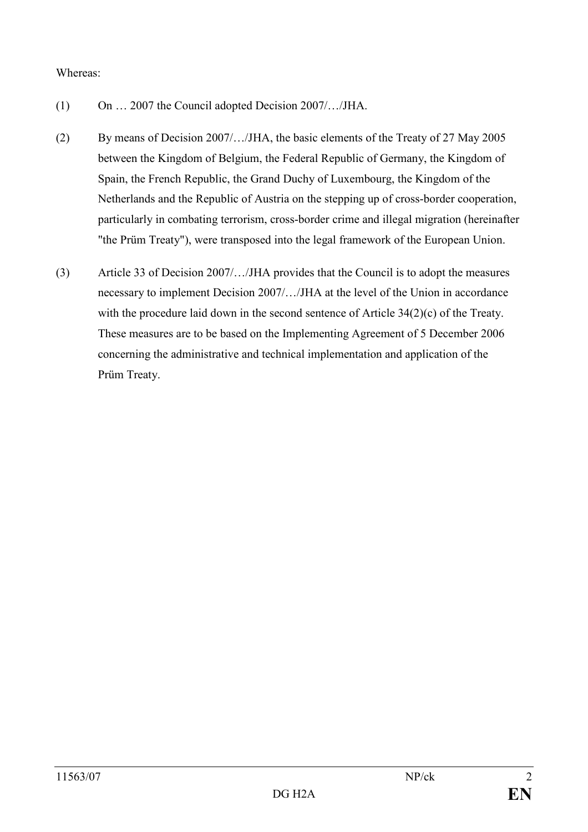#### Whereas:

- (1) On … 2007 the Council adopted Decision 2007/…/JHA.
- (2) By means of Decision 2007/…/JHA, the basic elements of the Treaty of 27 May 2005 between the Kingdom of Belgium, the Federal Republic of Germany, the Kingdom of Spain, the French Republic, the Grand Duchy of Luxembourg, the Kingdom of the Netherlands and the Republic of Austria on the stepping up of cross-border cooperation, particularly in combating terrorism, cross-border crime and illegal migration (hereinafter "the Prüm Treaty"), were transposed into the legal framework of the European Union.
- (3) Article 33 of Decision 2007/…/JHA provides that the Council is to adopt the measures necessary to implement Decision 2007/…/JHA at the level of the Union in accordance with the procedure laid down in the second sentence of Article 34(2)(c) of the Treaty. These measures are to be based on the Implementing Agreement of 5 December 2006 concerning the administrative and technical implementation and application of the Prüm Treaty.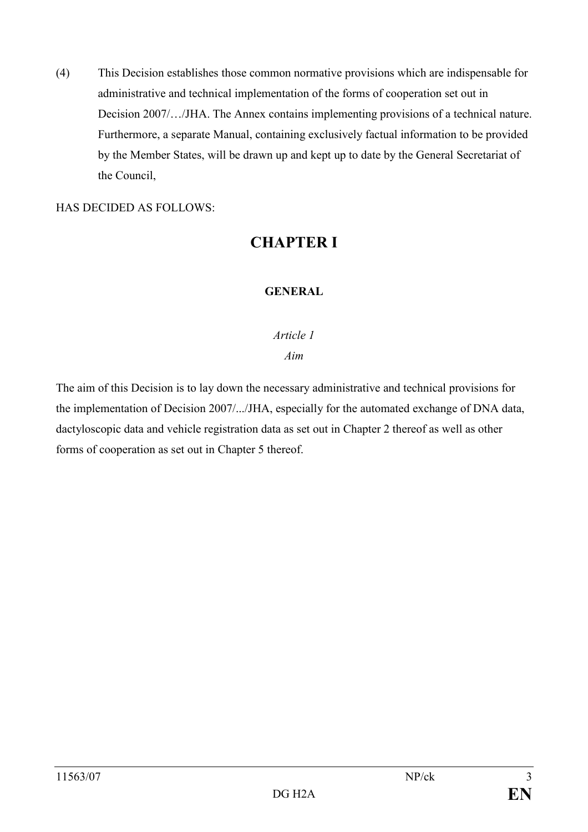(4) This Decision establishes those common normative provisions which are indispensable for administrative and technical implementation of the forms of cooperation set out in Decision 2007/…/JHA. The Annex contains implementing provisions of a technical nature. Furthermore, a separate Manual, containing exclusively factual information to be provided by the Member States, will be drawn up and kept up to date by the General Secretariat of the Council,

HAS DECIDED AS FOLLOWS:

# CHAPTER I

### GENERAL

### Article 1

#### Aim

The aim of this Decision is to lay down the necessary administrative and technical provisions for the implementation of Decision 2007/.../JHA, especially for the automated exchange of DNA data, dactyloscopic data and vehicle registration data as set out in Chapter 2 thereof as well as other forms of cooperation as set out in Chapter 5 thereof.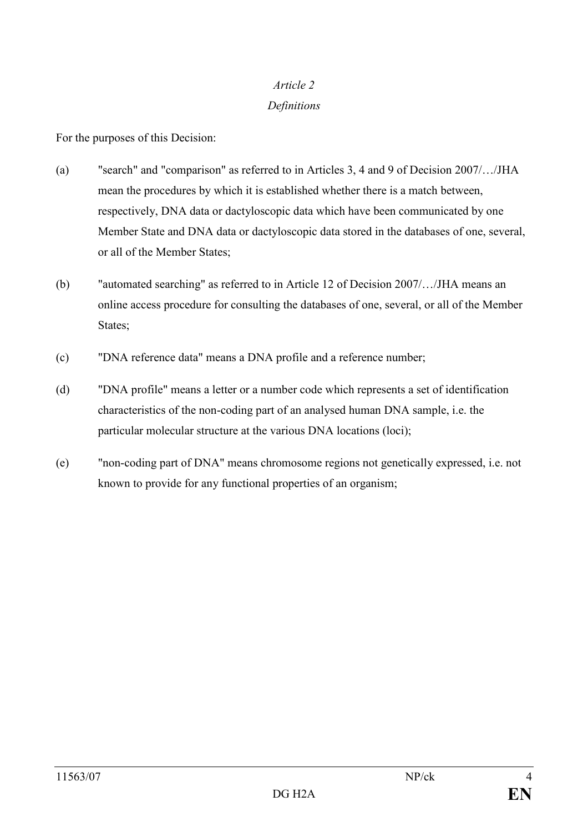## Article 2 Definitions

For the purposes of this Decision:

- (a) "search" and "comparison" as referred to in Articles 3, 4 and 9 of Decision 2007/…/JHA mean the procedures by which it is established whether there is a match between, respectively, DNA data or dactyloscopic data which have been communicated by one Member State and DNA data or dactyloscopic data stored in the databases of one, several, or all of the Member States;
- (b) "automated searching" as referred to in Article 12 of Decision 2007/…/JHA means an online access procedure for consulting the databases of one, several, or all of the Member States;
- (c) "DNA reference data" means a DNA profile and a reference number;
- (d) "DNA profile" means a letter or a number code which represents a set of identification characteristics of the non-coding part of an analysed human DNA sample, i.e. the particular molecular structure at the various DNA locations (loci);
- (e) "non-coding part of DNA" means chromosome regions not genetically expressed, i.e. not known to provide for any functional properties of an organism;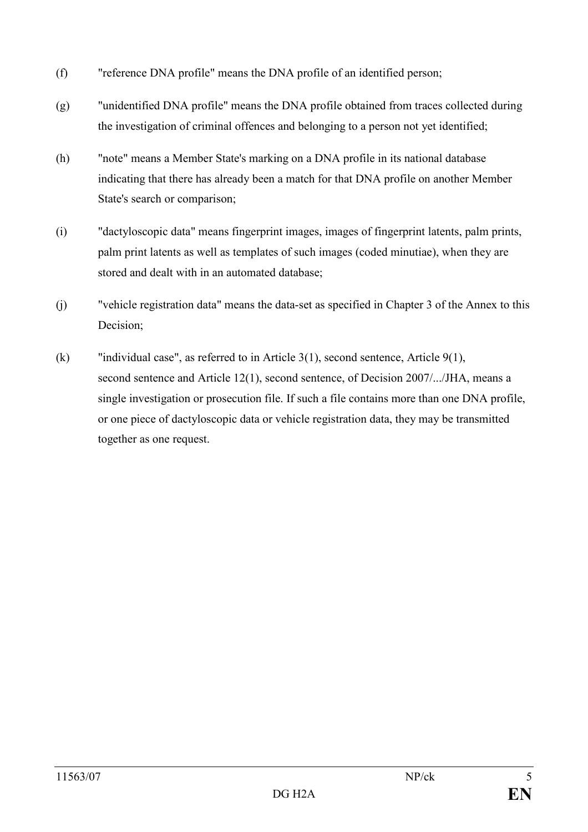- (f) "reference DNA profile" means the DNA profile of an identified person;
- (g) "unidentified DNA profile" means the DNA profile obtained from traces collected during the investigation of criminal offences and belonging to a person not yet identified;
- (h) "note" means a Member State's marking on a DNA profile in its national database indicating that there has already been a match for that DNA profile on another Member State's search or comparison;
- (i) "dactyloscopic data" means fingerprint images, images of fingerprint latents, palm prints, palm print latents as well as templates of such images (coded minutiae), when they are stored and dealt with in an automated database;
- (j) "vehicle registration data" means the data-set as specified in Chapter 3 of the Annex to this Decision;
- (k) "individual case", as referred to in Article 3(1), second sentence, Article 9(1), second sentence and Article 12(1), second sentence, of Decision 2007/.../JHA, means a single investigation or prosecution file. If such a file contains more than one DNA profile, or one piece of dactyloscopic data or vehicle registration data, they may be transmitted together as one request.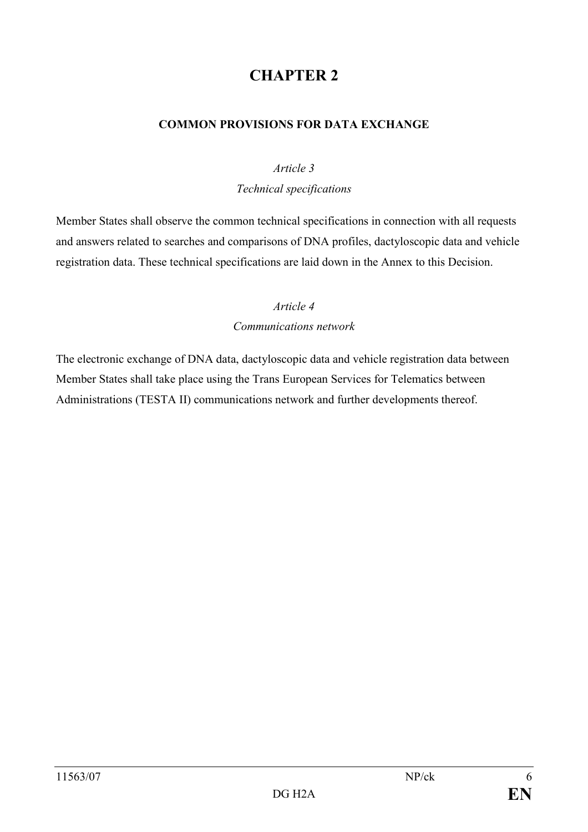### COMMON PROVISIONS FOR DATA EXCHANGE

#### Article 3

#### Technical specifications

Member States shall observe the common technical specifications in connection with all requests and answers related to searches and comparisons of DNA profiles, dactyloscopic data and vehicle registration data. These technical specifications are laid down in the Annex to this Decision.

### Article 4

### Communications network

The electronic exchange of DNA data, dactyloscopic data and vehicle registration data between Member States shall take place using the Trans European Services for Telematics between Administrations (TESTA II) communications network and further developments thereof.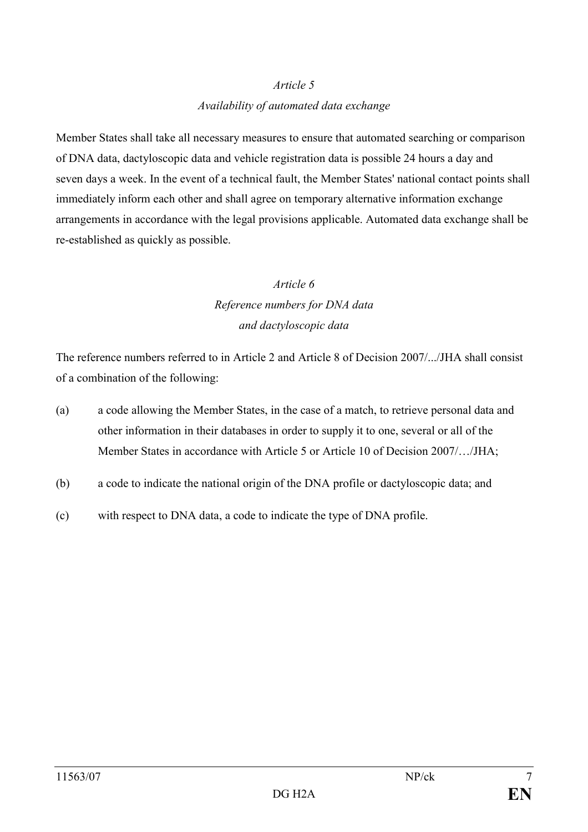### Availability of automated data exchange

Member States shall take all necessary measures to ensure that automated searching or comparison of DNA data, dactyloscopic data and vehicle registration data is possible 24 hours a day and seven days a week. In the event of a technical fault, the Member States' national contact points shall immediately inform each other and shall agree on temporary alternative information exchange arrangements in accordance with the legal provisions applicable. Automated data exchange shall be re-established as quickly as possible.

# Article 6 Reference numbers for DNA data and dactyloscopic data

The reference numbers referred to in Article 2 and Article 8 of Decision 2007/.../JHA shall consist of a combination of the following:

- (a) a code allowing the Member States, in the case of a match, to retrieve personal data and other information in their databases in order to supply it to one, several or all of the Member States in accordance with Article 5 or Article 10 of Decision 2007/…/JHA;
- (b) a code to indicate the national origin of the DNA profile or dactyloscopic data; and
- (c) with respect to DNA data, a code to indicate the type of DNA profile.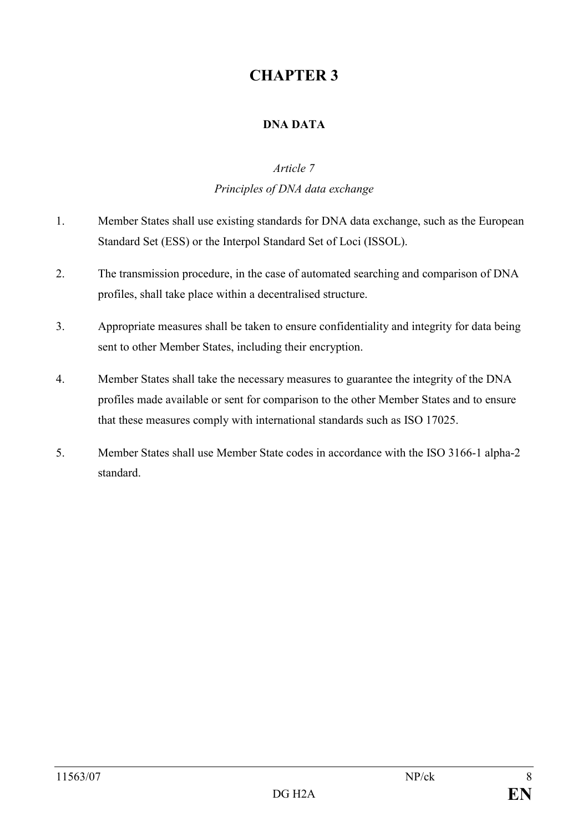### DNA DATA

#### Article 7

## Principles of DNA data exchange

- 1. Member States shall use existing standards for DNA data exchange, such as the European Standard Set (ESS) or the Interpol Standard Set of Loci (ISSOL).
- 2. The transmission procedure, in the case of automated searching and comparison of DNA profiles, shall take place within a decentralised structure.
- 3. Appropriate measures shall be taken to ensure confidentiality and integrity for data being sent to other Member States, including their encryption.
- 4. Member States shall take the necessary measures to guarantee the integrity of the DNA profiles made available or sent for comparison to the other Member States and to ensure that these measures comply with international standards such as ISO 17025.
- 5. Member States shall use Member State codes in accordance with the ISO 3166-1 alpha-2 standard.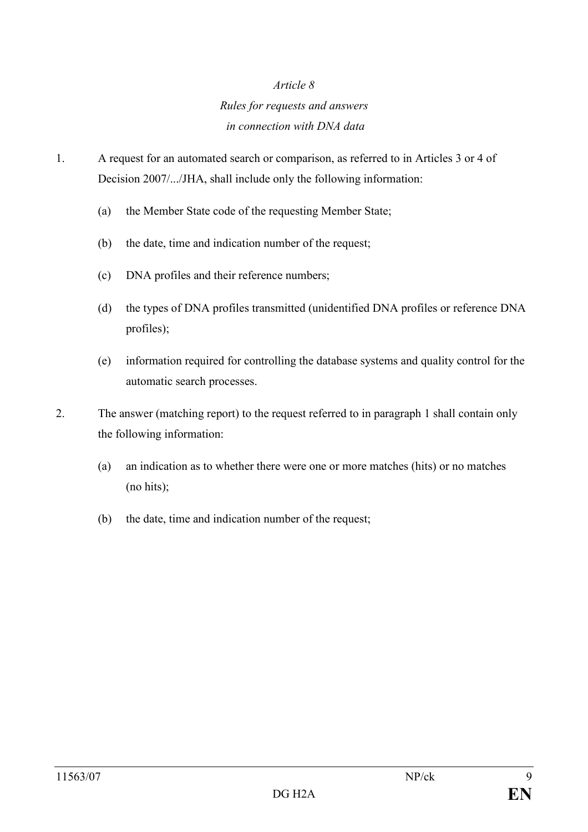# Rules for requests and answers in connection with DNA data

- 1. A request for an automated search or comparison, as referred to in Articles 3 or 4 of Decision 2007/.../JHA, shall include only the following information:
	- (a) the Member State code of the requesting Member State;
	- (b) the date, time and indication number of the request;
	- (c) DNA profiles and their reference numbers;
	- (d) the types of DNA profiles transmitted (unidentified DNA profiles or reference DNA profiles);
	- (e) information required for controlling the database systems and quality control for the automatic search processes.
- 2. The answer (matching report) to the request referred to in paragraph 1 shall contain only the following information:
	- (a) an indication as to whether there were one or more matches (hits) or no matches (no hits);
	- (b) the date, time and indication number of the request;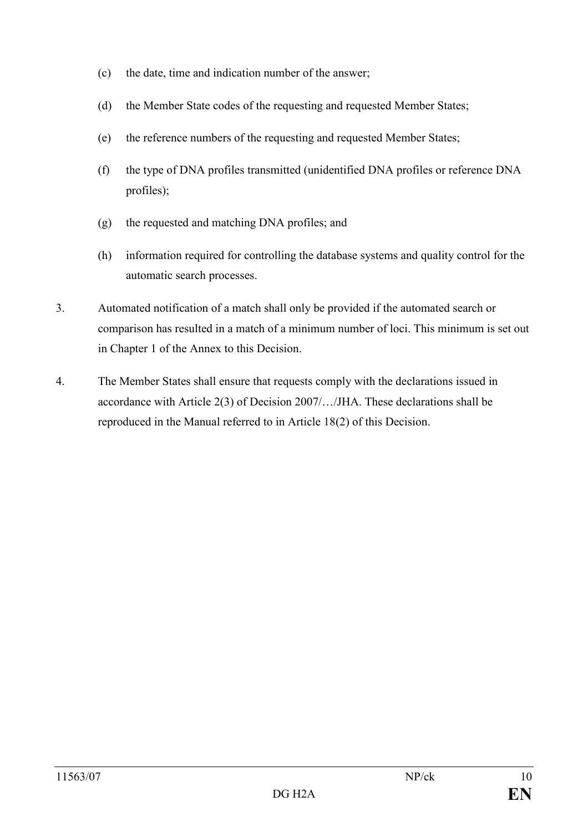- (c) the date, time and indication number of the answer;
- (d) the Member State codes of the requesting and requested Member States;
- (e) the reference numbers of the requesting and requested Member States;
- (f) the type of DNA profiles transmitted (unidentified DNA profiles or reference DNA profiles);
- (g) the requested and matching DNA profiles; and
- (h) information required for controlling the database systems and quality control for the automatic search processes.
- 3. Automated notification of a match shall only be provided if the automated search or comparison has resulted in a match of a minimum number of loci. This minimum is set out in Chapter 1 of the Annex to this Decision.
- 4. The Member States shall ensure that requests comply with the declarations issued in accordance with Article 2(3) of Decision 2007/…/JHA. These declarations shall be reproduced in the Manual referred to in Article 18(2) of this Decision.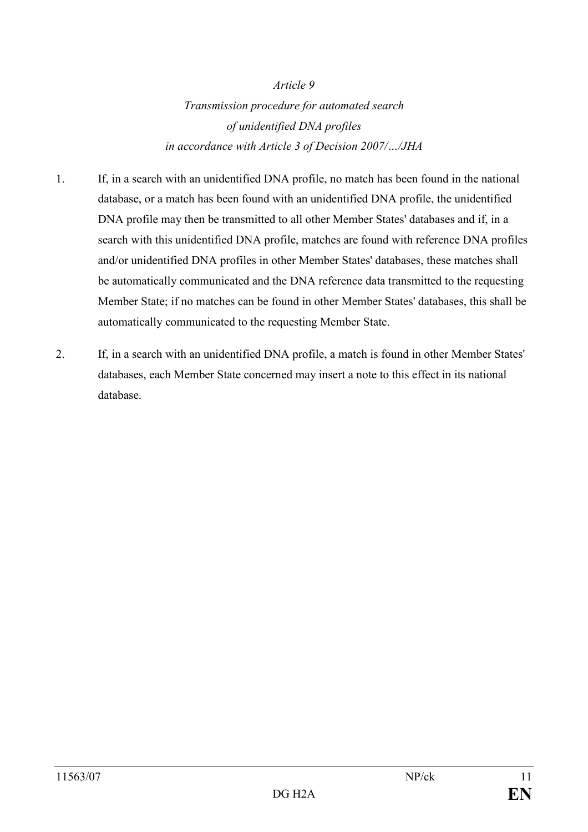Transmission procedure for automated search of unidentified DNA profiles in accordance with Article 3 of Decision 2007/…/JHA

- 1. If, in a search with an unidentified DNA profile, no match has been found in the national database, or a match has been found with an unidentified DNA profile, the unidentified DNA profile may then be transmitted to all other Member States' databases and if, in a search with this unidentified DNA profile, matches are found with reference DNA profiles and/or unidentified DNA profiles in other Member States' databases, these matches shall be automatically communicated and the DNA reference data transmitted to the requesting Member State; if no matches can be found in other Member States' databases, this shall be automatically communicated to the requesting Member State.
- 2. If, in a search with an unidentified DNA profile, a match is found in other Member States' databases, each Member State concerned may insert a note to this effect in its national database.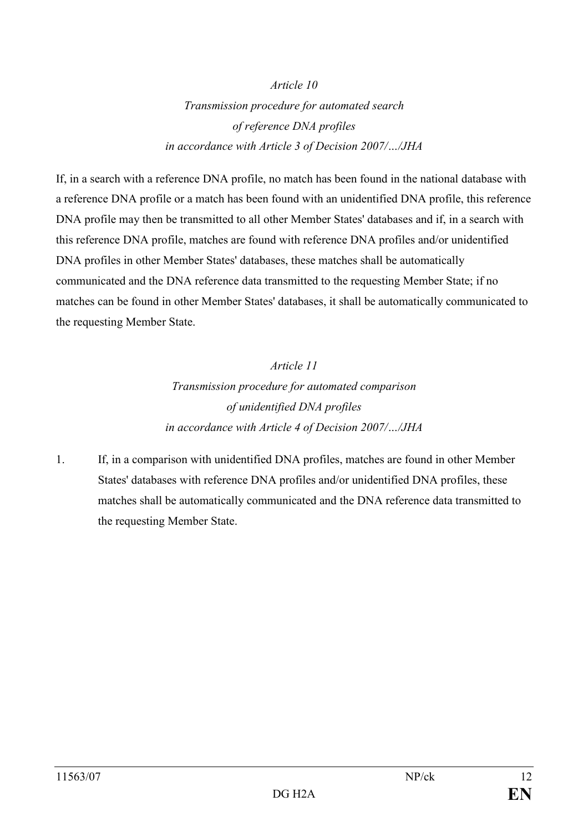Article 10 Transmission procedure for automated search of reference DNA profiles in accordance with Article 3 of Decision 2007/…/JHA

If, in a search with a reference DNA profile, no match has been found in the national database with a reference DNA profile or a match has been found with an unidentified DNA profile, this reference DNA profile may then be transmitted to all other Member States' databases and if, in a search with this reference DNA profile, matches are found with reference DNA profiles and/or unidentified DNA profiles in other Member States' databases, these matches shall be automatically communicated and the DNA reference data transmitted to the requesting Member State; if no matches can be found in other Member States' databases, it shall be automatically communicated to the requesting Member State.

> Article 11 Transmission procedure for automated comparison of unidentified DNA profiles in accordance with Article 4 of Decision 2007/…/JHA

1. If, in a comparison with unidentified DNA profiles, matches are found in other Member States' databases with reference DNA profiles and/or unidentified DNA profiles, these matches shall be automatically communicated and the DNA reference data transmitted to the requesting Member State.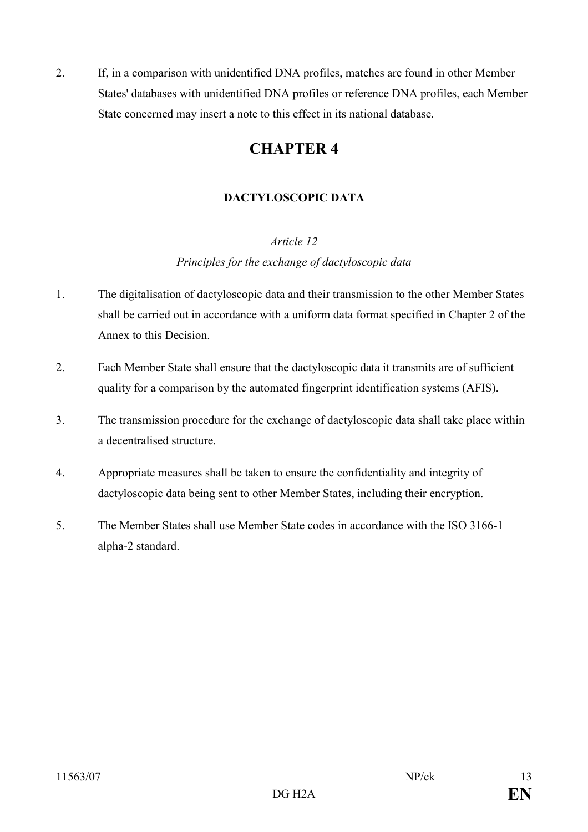2. If, in a comparison with unidentified DNA profiles, matches are found in other Member States' databases with unidentified DNA profiles or reference DNA profiles, each Member State concerned may insert a note to this effect in its national database.

# CHAPTER 4

## DACTYLOSCOPIC DATA

## Article 12

## Principles for the exchange of dactyloscopic data

- 1. The digitalisation of dactyloscopic data and their transmission to the other Member States shall be carried out in accordance with a uniform data format specified in Chapter 2 of the Annex to this Decision.
- 2. Each Member State shall ensure that the dactyloscopic data it transmits are of sufficient quality for a comparison by the automated fingerprint identification systems (AFIS).
- 3. The transmission procedure for the exchange of dactyloscopic data shall take place within a decentralised structure.
- 4. Appropriate measures shall be taken to ensure the confidentiality and integrity of dactyloscopic data being sent to other Member States, including their encryption.
- 5. The Member States shall use Member State codes in accordance with the ISO 3166-1 alpha-2 standard.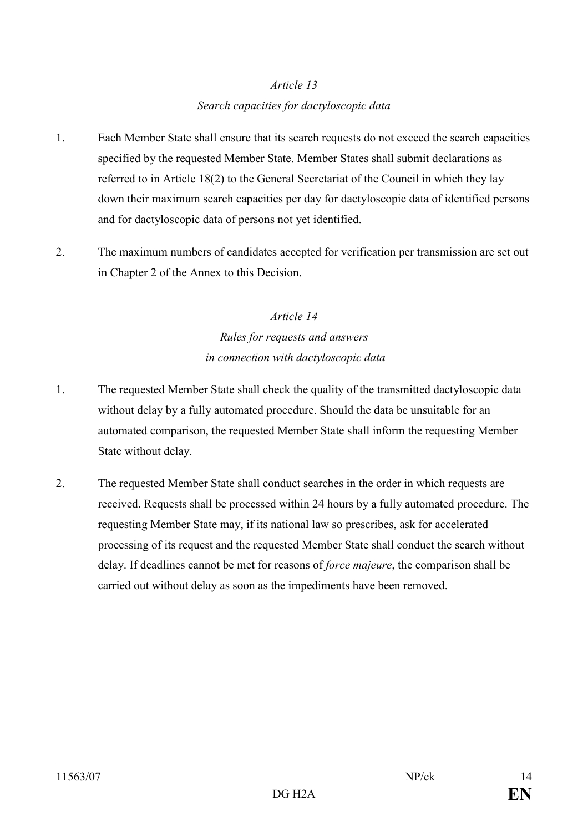# Article 13 Search capacities for dactyloscopic data

- 1. Each Member State shall ensure that its search requests do not exceed the search capacities specified by the requested Member State. Member States shall submit declarations as referred to in Article 18(2) to the General Secretariat of the Council in which they lay down their maximum search capacities per day for dactyloscopic data of identified persons and for dactyloscopic data of persons not yet identified.
- 2. The maximum numbers of candidates accepted for verification per transmission are set out in Chapter 2 of the Annex to this Decision.

# Article 14 Rules for requests and answers in connection with dactyloscopic data

- 1. The requested Member State shall check the quality of the transmitted dactyloscopic data without delay by a fully automated procedure. Should the data be unsuitable for an automated comparison, the requested Member State shall inform the requesting Member State without delay.
- 2. The requested Member State shall conduct searches in the order in which requests are received. Requests shall be processed within 24 hours by a fully automated procedure. The requesting Member State may, if its national law so prescribes, ask for accelerated processing of its request and the requested Member State shall conduct the search without delay. If deadlines cannot be met for reasons of *force majeure*, the comparison shall be carried out without delay as soon as the impediments have been removed.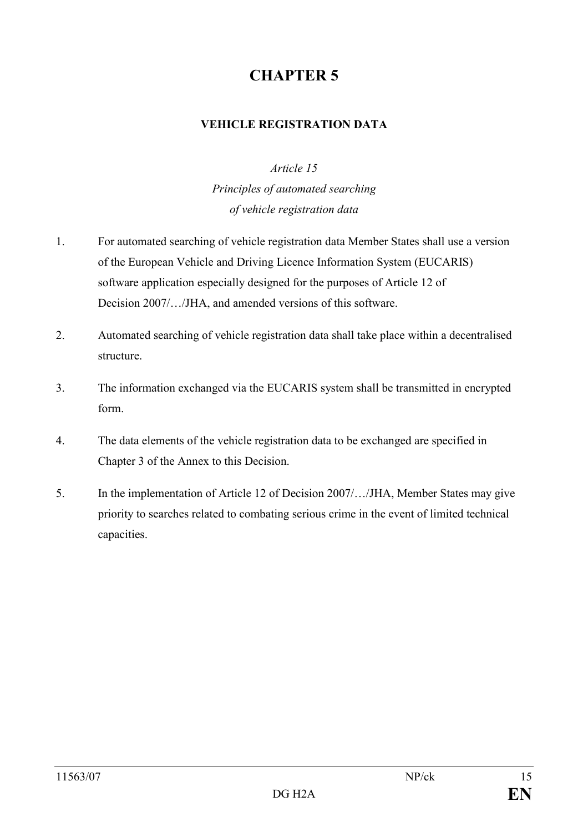### VEHICLE REGISTRATION DATA

### Article 15

Principles of automated searching of vehicle registration data

- 1. For automated searching of vehicle registration data Member States shall use a version of the European Vehicle and Driving Licence Information System (EUCARIS) software application especially designed for the purposes of Article 12 of Decision 2007/…/JHA, and amended versions of this software.
- 2. Automated searching of vehicle registration data shall take place within a decentralised structure.
- 3. The information exchanged via the EUCARIS system shall be transmitted in encrypted form.
- 4. The data elements of the vehicle registration data to be exchanged are specified in Chapter 3 of the Annex to this Decision.
- 5. In the implementation of Article 12 of Decision 2007/…/JHA, Member States may give priority to searches related to combating serious crime in the event of limited technical capacities.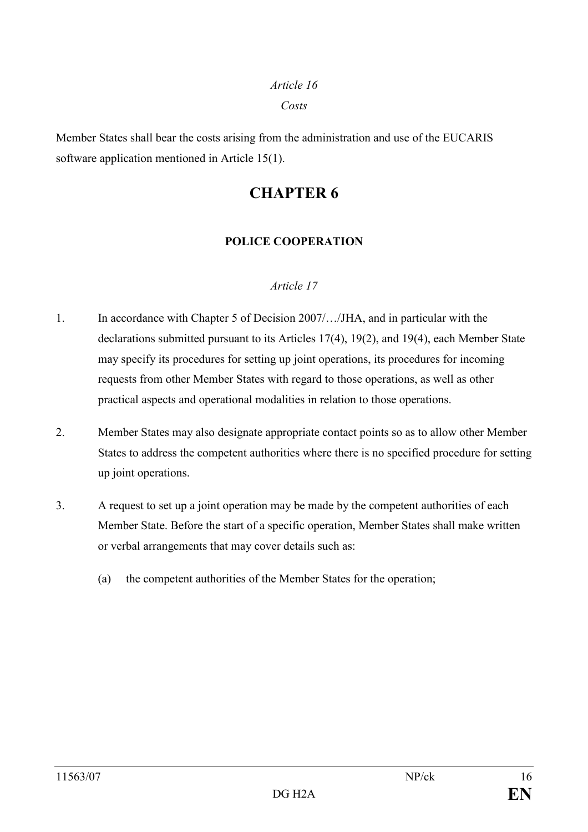Costs

Member States shall bear the costs arising from the administration and use of the EUCARIS software application mentioned in Article 15(1).

# CHAPTER 6

## POLICE COOPERATION

### Article 17

- 1. In accordance with Chapter 5 of Decision 2007/…/JHA, and in particular with the declarations submitted pursuant to its Articles 17(4), 19(2), and 19(4), each Member State may specify its procedures for setting up joint operations, its procedures for incoming requests from other Member States with regard to those operations, as well as other practical aspects and operational modalities in relation to those operations.
- 2. Member States may also designate appropriate contact points so as to allow other Member States to address the competent authorities where there is no specified procedure for setting up joint operations.
- 3. A request to set up a joint operation may be made by the competent authorities of each Member State. Before the start of a specific operation, Member States shall make written or verbal arrangements that may cover details such as:
	- (a) the competent authorities of the Member States for the operation;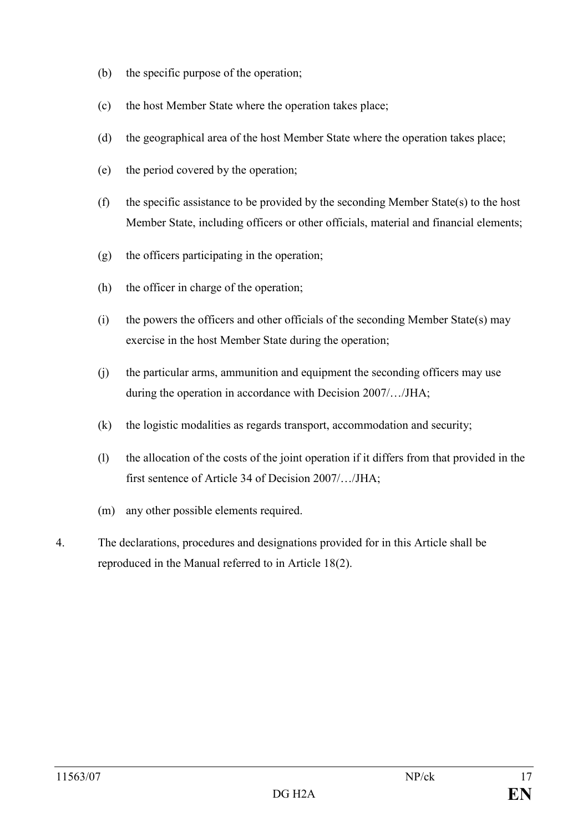- (b) the specific purpose of the operation;
- (c) the host Member State where the operation takes place;
- (d) the geographical area of the host Member State where the operation takes place;
- (e) the period covered by the operation;
- (f) the specific assistance to be provided by the seconding Member State(s) to the host Member State, including officers or other officials, material and financial elements;
- (g) the officers participating in the operation;
- (h) the officer in charge of the operation;
- (i) the powers the officers and other officials of the seconding Member State(s) may exercise in the host Member State during the operation;
- (j) the particular arms, ammunition and equipment the seconding officers may use during the operation in accordance with Decision 2007/…/JHA;
- (k) the logistic modalities as regards transport, accommodation and security;
- (l) the allocation of the costs of the joint operation if it differs from that provided in the first sentence of Article 34 of Decision 2007/…/JHA;
- (m) any other possible elements required.
- 4. The declarations, procedures and designations provided for in this Article shall be reproduced in the Manual referred to in Article 18(2).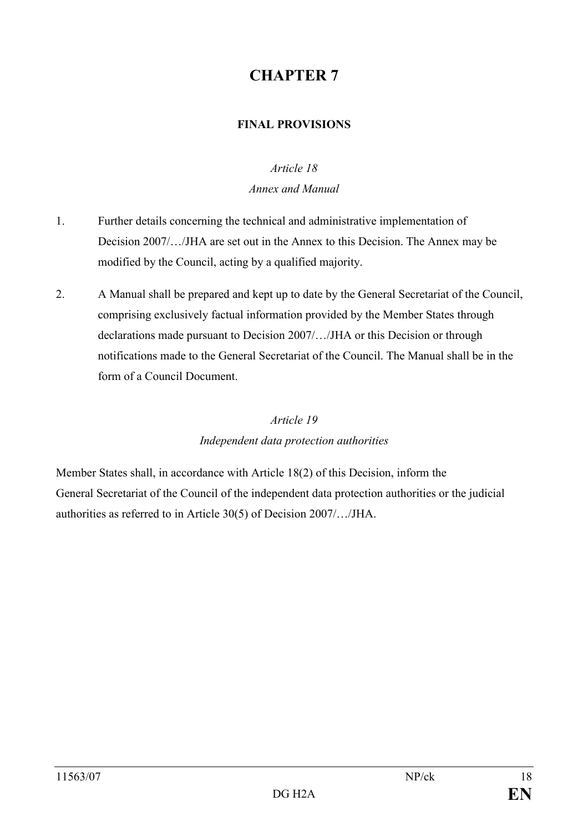## FINAL PROVISIONS

## Article 18

### Annex and Manual

- 1. Further details concerning the technical and administrative implementation of Decision 2007/…/JHA are set out in the Annex to this Decision. The Annex may be modified by the Council, acting by a qualified majority.
- 2. A Manual shall be prepared and kept up to date by the General Secretariat of the Council, comprising exclusively factual information provided by the Member States through declarations made pursuant to Decision 2007/…/JHA or this Decision or through notifications made to the General Secretariat of the Council. The Manual shall be in the form of a Council Document.

## Article 19

## Independent data protection authorities

Member States shall, in accordance with Article 18(2) of this Decision, inform the General Secretariat of the Council of the independent data protection authorities or the judicial authorities as referred to in Article 30(5) of Decision 2007/…/JHA.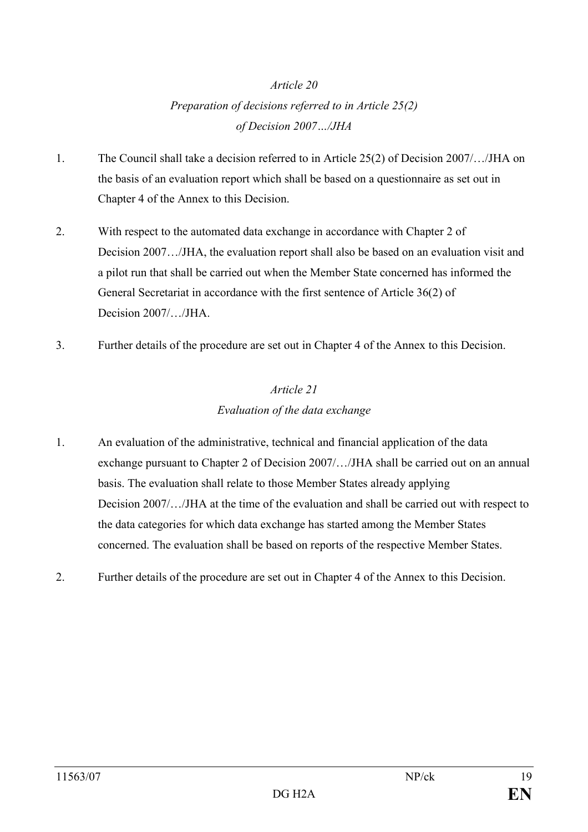# Preparation of decisions referred to in Article 25(2) of Decision 2007…/JHA

- 1. The Council shall take a decision referred to in Article 25(2) of Decision 2007/…/JHA on the basis of an evaluation report which shall be based on a questionnaire as set out in Chapter 4 of the Annex to this Decision.
- 2. With respect to the automated data exchange in accordance with Chapter 2 of Decision 2007…/JHA, the evaluation report shall also be based on an evaluation visit and a pilot run that shall be carried out when the Member State concerned has informed the General Secretariat in accordance with the first sentence of Article 36(2) of Decision 2007/…/JHA.
- 3. Further details of the procedure are set out in Chapter 4 of the Annex to this Decision.

## Article 21 Evaluation of the data exchange

- 1. An evaluation of the administrative, technical and financial application of the data exchange pursuant to Chapter 2 of Decision 2007/…/JHA shall be carried out on an annual basis. The evaluation shall relate to those Member States already applying Decision 2007/…/JHA at the time of the evaluation and shall be carried out with respect to the data categories for which data exchange has started among the Member States concerned. The evaluation shall be based on reports of the respective Member States.
- 2. Further details of the procedure are set out in Chapter 4 of the Annex to this Decision.